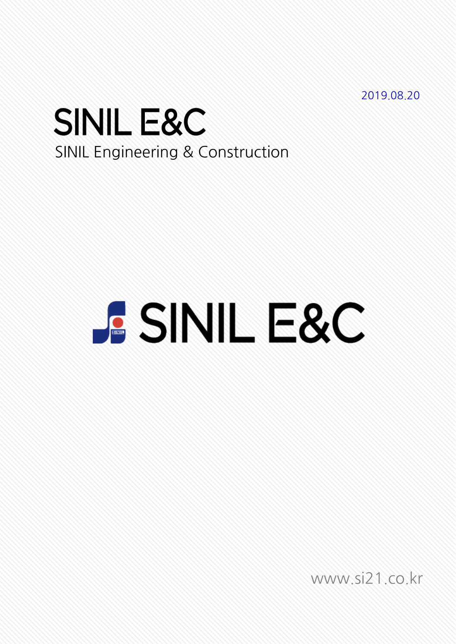2019.08.20

## **SINIL E&C** SINIL Engineering & Construction

# **PSSINIL E&C**

www.si21.co.kr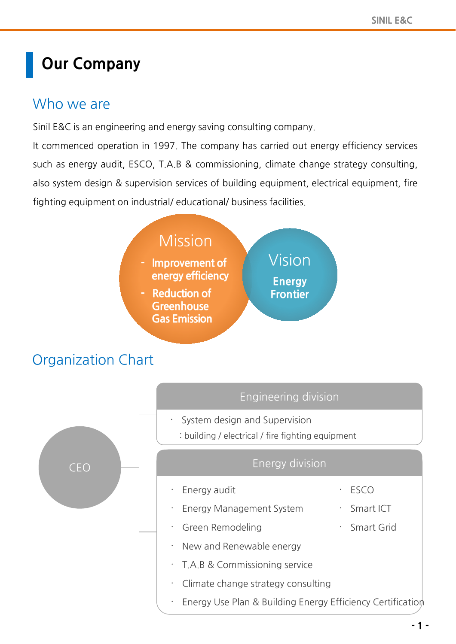## **Our Company**

## Who we are

Sinil E&C is an engineering and energy saving consulting company.

It commenced operation in 1997. The company has carried out energy efficiency services such as energy audit, ESCO, T.A.B & commissioning, climate change strategy consulting, also system design & supervision services of building equipment, electrical equipment, fire fighting equipment on industrial/ educational/ business facilities.



## Organization Chart

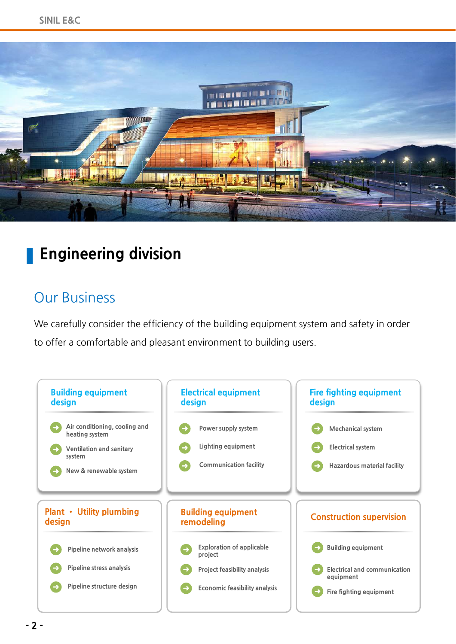

## **Engineering division**

## Our Business

We carefully consider the efficiency of the building equipment system and safety in order to offer a comfortable and pleasant environment to building users.

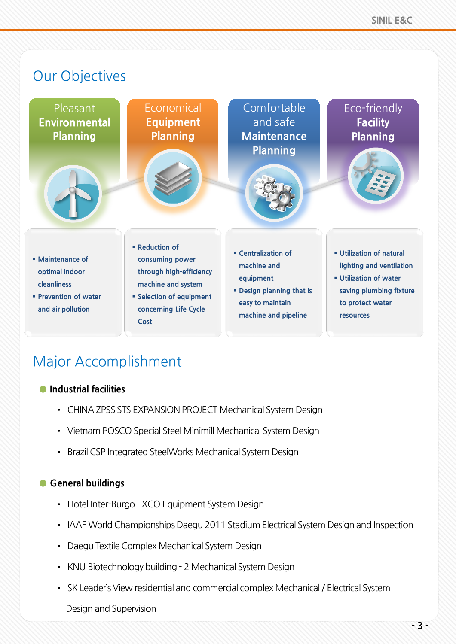

## Major Accomplishment

#### **● Industrial facilities**

- CHINA ZPSS STS EXPANSION PROJECT Mechanical System Design
- Vietnam POSCO Special Steel Minimill Mechanical System Design
- Brazil CSP Integrated SteelWorks Mechanical System Design

#### **● General buildings**

- Hotel Inter-Burgo EXCO Equipment System Design
- IAAF World Championships Daegu 2011 Stadium Electrical System Design and Inspection
- Daegu Textile Complex Mechanical System Design
- KNU Biotechnology building 2 Mechanical System Design
- SK Leader's View residential and commercial complex Mechanical / Electrical System

#### Design and Supervision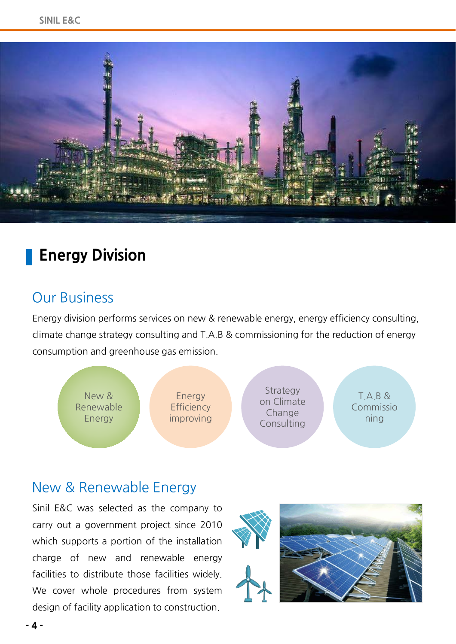

## **Energy Division**

### Our Business

Energy division performs services on new & renewable energy, energy efficiency consulting, climate change strategy consulting and T.A.B & commissioning for the reduction of energy consumption and greenhouse gas emission.



### New & Renewable Energy

Sinil E&C was selected as the company to carry out a government project since 2010 which supports a portion of the installation charge of new and renewable energy facilities to distribute those facilities widely. We cover whole procedures from system design of facility application to construction.

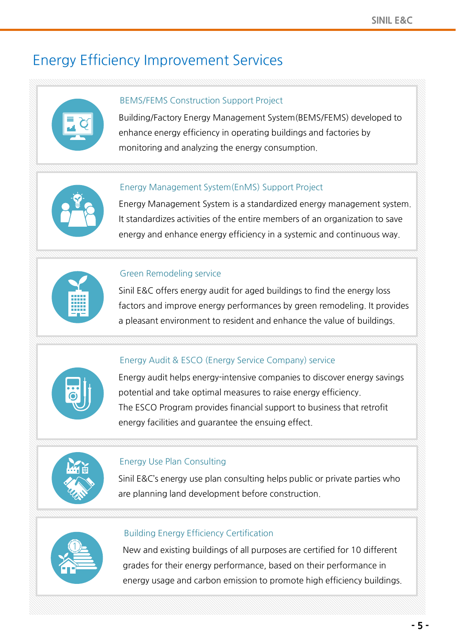## Energy Efficiency Improvement Services



#### BEMS/FEMS Construction Support Project

Building/Factory Energy Management System(BEMS/FEMS) developed to enhance energy efficiency in operating buildings and factories by monitoring and analyzing the energy consumption.



#### Energy Management System(EnMS) Support Project

Energy Management System is a standardized energy management system. It standardizes activities of the entire members of an organization to save energy and enhance energy efficiency in a systemic and continuous way.



#### Green Remodeling service

Sinil E&C offers energy audit for aged buildings to find the energy loss factors and improve energy performances by green remodeling. It provides a pleasant environment to resident and enhance the value of buildings.



#### Energy Audit & ESCO (Energy Service Company) service

Energy audit helps energy-intensive companies to discover energy savings potential and take optimal measures to raise energy efficiency. The ESCO Program provides financial support to business that retrofit energy facilities and guarantee the ensuing effect.



#### Energy Use Plan Consulting

Sinil E&C's energy use plan consulting helps public or private parties who are planning land development before construction.



#### Building Energy Efficiency Certification

New and existing buildings of all purposes are certified for 10 different grades for their energy performance, based on their performance in energy usage and carbon emission to promote high efficiency buildings.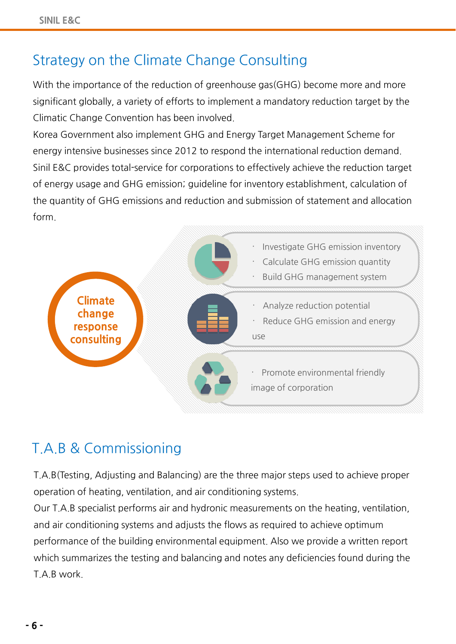## Strategy on the Climate Change Consulting

With the importance of the reduction of greenhouse gas(GHG) become more and more significant globally, a variety of efforts to implement a mandatory reduction target by the Climatic Change Convention has been involved.

Korea Government also implement GHG and Energy Target Management Scheme for energy intensive businesses since 2012 to respond the international reduction demand. Sinil E&C provides total-service for corporations to effectively achieve the reduction target of energy usage and GHG emission; guideline for inventory establishment, calculation of the quantity of GHG emissions and reduction and submission of statement and allocation form.



## T.A.B & Commissioning

T.A.B(Testing, Adjusting and Balancing) are the three major steps used to achieve proper operation of heating, ventilation, and air conditioning systems.

Our T.A.B specialist performs air and hydronic measurements on the heating, ventilation, and air conditioning systems and adjusts the flows as required to achieve optimum performance of the building environmental equipment. Also we provide a written report which summarizes the testing and balancing and notes any deficiencies found during the T.A.B work.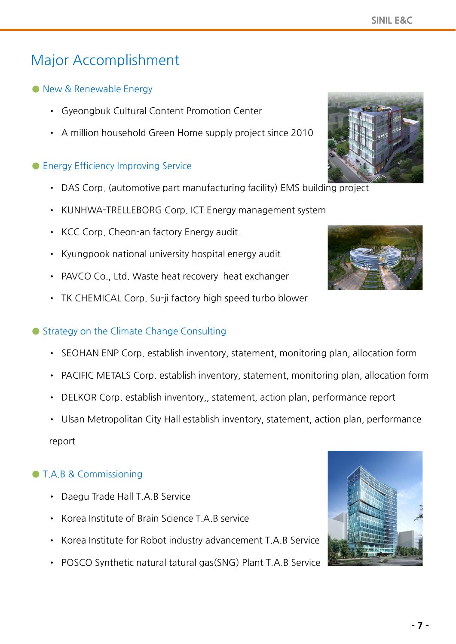## Major Accomplishment

- **●** New & Renewable Energy
	- Gyeongbuk Cultural Content Promotion Center
	- A million household Green Home supply project since 2010

#### **●** Energy Efficiency Improving Service

- DAS Corp. (automotive part manufacturing facility) EMS building project
- KUNHWA-TRELLEBORG Corp. ICT Energy management system
- KCC Corp. Cheon-an factory Energy audit
- Kyungpook national university hospital energy audit
- PAVCO Co., Ltd. Waste heat recovery heat exchanger
- TK CHEMICAL Corp. Su-ji factory high speed turbo blower

#### ● Strategy on the Climate Change Consulting

- SEOHAN ENP Corp. establish inventory, statement, monitoring plan, allocation form
- PACIFIC METALS Corp. establish inventory, statement, monitoring plan, allocation form
- DELKOR Corp. establish inventory,, statement, action plan, performance report
- Ulsan Metropolitan City Hall establish inventory, statement, action plan, performance

report

#### **●** T.A.B & Commissioning

- Daegu Trade Hall T.A.B Service
- Korea Institute of Brain Science T.A.B service
- Korea Institute for Robot industry advancement T.A.B Service
- POSCO Synthetic natural tatural gas(SNG) Plant T.A.B Service